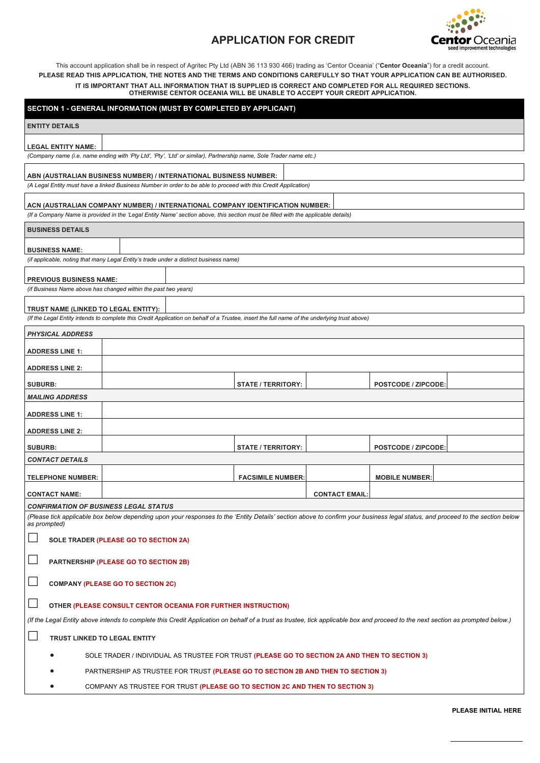# **Centor** Oceania seed improvement technologies

# **APPLICATION FOR CREDIT**

This account application shall be in respect of Agritec Pty Ltd (ABN 36 113 930 466) trading as 'Centor Oceania' ("**Centor Oceania**") for a credit account. **PLEASE READ THIS APPLICATION, THE NOTES AND THE TERMS AND CONDITIONS CAREFULLY SO THAT YOUR APPLICATION CAN BE AUTHORISED. IT IS IMPORTANT THAT ALL INFORMATION THAT IS SUPPLIED IS CORRECT AND COMPLETED FOR ALL REQUIRED SECTIONS. OTHERWISE CENTOR OCEANIA WILL BE UNABLE TO ACCEPT YOUR CREDIT APPLICATION.**

|                                                                                                                                                                                               | SECTION 1 - GENERAL INFORMATION (MUST BY COMPLETED BY APPLICANT)                                                                                                                                                    |                           |  |                            |  |  |
|-----------------------------------------------------------------------------------------------------------------------------------------------------------------------------------------------|---------------------------------------------------------------------------------------------------------------------------------------------------------------------------------------------------------------------|---------------------------|--|----------------------------|--|--|
| <b>ENTITY DETAILS</b>                                                                                                                                                                         |                                                                                                                                                                                                                     |                           |  |                            |  |  |
| <b>LEGAL ENTITY NAME:</b>                                                                                                                                                                     | (Company name (i.e. name ending with 'Pty Ltd', 'Pty', 'Ltd' or similar), Partnership name, Sole Trader name etc.)                                                                                                  |                           |  |                            |  |  |
|                                                                                                                                                                                               |                                                                                                                                                                                                                     |                           |  |                            |  |  |
|                                                                                                                                                                                               | ABN (AUSTRALIAN BUSINESS NUMBER) / INTERNATIONAL BUSINESS NUMBER:<br>(A Legal Entity must have a linked Business Number in order to be able to proceed with this Credit Application)                                |                           |  |                            |  |  |
|                                                                                                                                                                                               | ACN (AUSTRALIAN COMPANY NUMBER) / INTERNATIONAL COMPANY IDENTIFICATION NUMBER:<br>(If a Company Name is provided in the 'Legal Entity Name' section above, this section must be filled with the applicable details) |                           |  |                            |  |  |
| <b>BUSINESS DETAILS</b>                                                                                                                                                                       |                                                                                                                                                                                                                     |                           |  |                            |  |  |
|                                                                                                                                                                                               |                                                                                                                                                                                                                     |                           |  |                            |  |  |
| <b>BUSINESS NAME:</b>                                                                                                                                                                         |                                                                                                                                                                                                                     |                           |  |                            |  |  |
|                                                                                                                                                                                               | (if applicable, noting that many Legal Entity's trade under a distinct business name)                                                                                                                               |                           |  |                            |  |  |
| <b>PREVIOUS BUSINESS NAME:</b>                                                                                                                                                                |                                                                                                                                                                                                                     |                           |  |                            |  |  |
|                                                                                                                                                                                               | (if Business Name above has changed within the past two years)                                                                                                                                                      |                           |  |                            |  |  |
| TRUST NAME (LINKED TO LEGAL ENTITY):                                                                                                                                                          |                                                                                                                                                                                                                     |                           |  |                            |  |  |
|                                                                                                                                                                                               | (If the Legal Entity intends to complete this Credit Application on behalf of a Trustee, insert the full name of the underlying trust above)                                                                        |                           |  |                            |  |  |
| <b>PHYSICAL ADDRESS</b>                                                                                                                                                                       |                                                                                                                                                                                                                     |                           |  |                            |  |  |
| <b>ADDRESS LINE 1:</b>                                                                                                                                                                        |                                                                                                                                                                                                                     |                           |  |                            |  |  |
| <b>ADDRESS LINE 2:</b>                                                                                                                                                                        |                                                                                                                                                                                                                     |                           |  |                            |  |  |
| <b>SUBURB:</b>                                                                                                                                                                                |                                                                                                                                                                                                                     | STATE / TERRITORY:        |  | <b>POSTCODE / ZIPCODE:</b> |  |  |
| <b>MAILING ADDRESS</b>                                                                                                                                                                        |                                                                                                                                                                                                                     |                           |  |                            |  |  |
| <b>ADDRESS LINE 1:</b>                                                                                                                                                                        |                                                                                                                                                                                                                     |                           |  |                            |  |  |
| <b>ADDRESS LINE 2:</b>                                                                                                                                                                        |                                                                                                                                                                                                                     |                           |  |                            |  |  |
|                                                                                                                                                                                               |                                                                                                                                                                                                                     |                           |  |                            |  |  |
| <b>SUBURB:</b><br><b>CONTACT DETAILS</b>                                                                                                                                                      |                                                                                                                                                                                                                     | <b>STATE / TERRITORY:</b> |  | <b>POSTCODE / ZIPCODE:</b> |  |  |
|                                                                                                                                                                                               |                                                                                                                                                                                                                     |                           |  |                            |  |  |
|                                                                                                                                                                                               | <b>TELEPHONE NUMBER:</b><br><b>FACSIMILE NUMBER:</b><br><b>MOBILE NUMBER:</b>                                                                                                                                       |                           |  |                            |  |  |
| <b>CONTACT EMAIL:</b><br><b>CONTACT NAME:</b>                                                                                                                                                 |                                                                                                                                                                                                                     |                           |  |                            |  |  |
| <b>CONFIRMATION OF BUSINESS LEGAL STATUS</b>                                                                                                                                                  |                                                                                                                                                                                                                     |                           |  |                            |  |  |
| (Please tick applicable box below depending upon your responses to the 'Entity Details' section above to confirm your business legal status, and proceed to the section below<br>as prompted) |                                                                                                                                                                                                                     |                           |  |                            |  |  |
|                                                                                                                                                                                               | SOLE TRADER (PLEASE GO TO SECTION 2A)                                                                                                                                                                               |                           |  |                            |  |  |
| PARTNERSHIP (PLEASE GO TO SECTION 2B)                                                                                                                                                         |                                                                                                                                                                                                                     |                           |  |                            |  |  |

### **COMPANY (PLEASE GO TO SECTION 2C)**

## **OTHER (PLEASE CONSULT CENTOR OCEANIA FOR FURTHER INSTRUCTION)**

(If the Legal Entity above intends to complete this Credit Application on behalf of a trust as trustee, tick applicable box and proceed to the next section as prompted below.)

**TRUST LINKED TO LEGAL ENTITY**

- SOLE TRADER / INDIVIDUAL AS TRUSTEE FOR TRUST **(PLEASE GO TO SECTION 2A AND THEN TO SECTION 3)**
- PARTNERSHIP AS TRUSTEE FOR TRUST **(PLEASE GO TO SECTION 2B AND THEN TO SECTION 3)**
- COMPANY AS TRUSTEE FOR TRUST **(PLEASE GO TO SECTION 2C AND THEN TO SECTION 3)**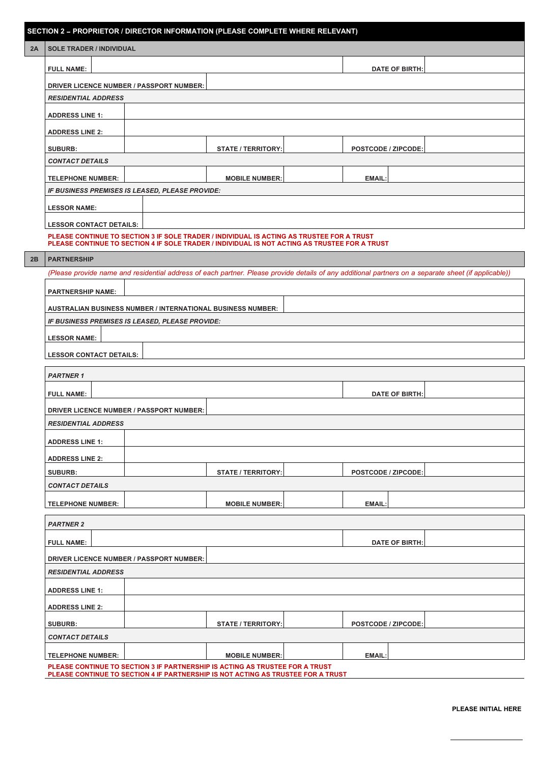# **SECTION 2** – **PROPRIETOR / DIRECTOR INFORMATION (PLEASE COMPLETE WHERE RELEVANT)**

|  |  |  | 2A   SOLE TRADER / INDIVIDUAL |
|--|--|--|-------------------------------|
|--|--|--|-------------------------------|

| 2A | <b>I SOLE TRADER / INDIVIDUAL</b>                                                                                                                    |                                                                                                                                                                                            |                           |  |                            |  |  |
|----|------------------------------------------------------------------------------------------------------------------------------------------------------|--------------------------------------------------------------------------------------------------------------------------------------------------------------------------------------------|---------------------------|--|----------------------------|--|--|
|    | <b>FULL NAME:</b>                                                                                                                                    |                                                                                                                                                                                            |                           |  | <b>DATE OF BIRTH:</b>      |  |  |
|    |                                                                                                                                                      | <b>DRIVER LICENCE NUMBER / PASSPORT NUMBER:</b>                                                                                                                                            |                           |  |                            |  |  |
|    | <b>RESIDENTIAL ADDRESS</b>                                                                                                                           |                                                                                                                                                                                            |                           |  |                            |  |  |
|    | <b>ADDRESS LINE 1:</b>                                                                                                                               |                                                                                                                                                                                            |                           |  |                            |  |  |
|    | <b>ADDRESS LINE 2:</b>                                                                                                                               |                                                                                                                                                                                            |                           |  |                            |  |  |
|    | <b>SUBURB:</b>                                                                                                                                       |                                                                                                                                                                                            | <b>STATE / TERRITORY:</b> |  | <b>POSTCODE / ZIPCODE:</b> |  |  |
|    | <b>CONTACT DETAILS</b>                                                                                                                               |                                                                                                                                                                                            |                           |  |                            |  |  |
|    | <b>TELEPHONE NUMBER:</b>                                                                                                                             |                                                                                                                                                                                            | <b>MOBILE NUMBER:</b>     |  | <b>EMAIL:</b>              |  |  |
|    |                                                                                                                                                      | IF BUSINESS PREMISES IS LEASED, PLEASE PROVIDE:                                                                                                                                            |                           |  |                            |  |  |
|    | <b>LESSOR NAME:</b>                                                                                                                                  |                                                                                                                                                                                            |                           |  |                            |  |  |
|    | <b>LESSOR CONTACT DETAILS:</b>                                                                                                                       |                                                                                                                                                                                            |                           |  |                            |  |  |
|    |                                                                                                                                                      | PLEASE CONTINUE TO SECTION 3 IF SOLE TRADER / INDIVIDUAL IS ACTING AS TRUSTEE FOR A TRUST<br>PLEASE CONTINUE TO SECTION 4 IF SOLE TRADER / INDIVIDUAL IS NOT ACTING AS TRUSTEE FOR A TRUST |                           |  |                            |  |  |
| 2B | <b>PARTNERSHIP</b>                                                                                                                                   |                                                                                                                                                                                            |                           |  |                            |  |  |
|    | (Please provide name and residential address of each partner. Please provide details of any additional partners on a separate sheet (if applicable)) |                                                                                                                                                                                            |                           |  |                            |  |  |
|    | <b>PARTNERSHIP NAME:</b>                                                                                                                             |                                                                                                                                                                                            |                           |  |                            |  |  |
|    |                                                                                                                                                      | <b>AUSTRALIAN BUSINESS NUMBER / INTERNATIONAL BUSINESS NUMBER:</b>                                                                                                                         |                           |  |                            |  |  |
|    |                                                                                                                                                      | IF BUSINESS PREMISES IS LEASED, PLEASE PROVIDE:                                                                                                                                            |                           |  |                            |  |  |
|    | <b>LESSOR NAME:</b>                                                                                                                                  |                                                                                                                                                                                            |                           |  |                            |  |  |
|    | <b>LESSOR CONTACT DETAILS:</b>                                                                                                                       |                                                                                                                                                                                            |                           |  |                            |  |  |
|    | <b>PARTNER 1</b>                                                                                                                                     |                                                                                                                                                                                            |                           |  |                            |  |  |
|    |                                                                                                                                                      |                                                                                                                                                                                            |                           |  |                            |  |  |
|    | <b>FULL NAME:</b>                                                                                                                                    |                                                                                                                                                                                            |                           |  | <b>DATE OF BIRTH:</b>      |  |  |
|    |                                                                                                                                                      | <b>DRIVER LICENCE NUMBER / PASSPORT NUMBER:</b>                                                                                                                                            |                           |  |                            |  |  |
|    | <b>RESIDENTIAL ADDRESS</b>                                                                                                                           |                                                                                                                                                                                            |                           |  |                            |  |  |
|    | <b>ADDRESS LINE 1:</b>                                                                                                                               |                                                                                                                                                                                            |                           |  |                            |  |  |
|    | <b>ADDRESS LINE 2:</b>                                                                                                                               |                                                                                                                                                                                            |                           |  |                            |  |  |
|    | <b>SUBURB:</b>                                                                                                                                       |                                                                                                                                                                                            | <b>STATE / TERRITORY:</b> |  | <b>POSTCODE / ZIPCODE:</b> |  |  |
|    | <b>CONTACT DETAILS</b>                                                                                                                               |                                                                                                                                                                                            |                           |  |                            |  |  |
|    | <b>TELEPHONE NUMBER:</b>                                                                                                                             |                                                                                                                                                                                            | <b>MOBILE NUMBER:</b>     |  | <b>EMAIL:</b>              |  |  |
|    | <b>PARTNER 2</b>                                                                                                                                     |                                                                                                                                                                                            |                           |  |                            |  |  |
|    | <b>FULL NAME:</b>                                                                                                                                    |                                                                                                                                                                                            |                           |  | <b>DATE OF BIRTH:</b>      |  |  |
|    |                                                                                                                                                      | <b>DRIVER LICENCE NUMBER / PASSPORT NUMBER:</b>                                                                                                                                            |                           |  |                            |  |  |
|    | <b>RESIDENTIAL ADDRESS</b>                                                                                                                           |                                                                                                                                                                                            |                           |  |                            |  |  |

| <b>ADDRESS LINE 1:</b>   |                           |                            |  |
|--------------------------|---------------------------|----------------------------|--|
| <b>ADDRESS LINE 2:</b>   |                           |                            |  |
| <b>SUBURB:</b>           | <b>STATE / TERRITORY:</b> | <b>POSTCODE / ZIPCODE:</b> |  |
| <b>CONTACT DETAILS</b>   |                           |                            |  |
| <b>TELEPHONE NUMBER:</b> | <b>MOBILE NUMBER:</b>     | <b>EMAIL:</b>              |  |

#### **PLEASE CONTINUE TO SECTION 3 IF PARTNERSHIP IS ACTING AS TRUSTEE FOR A TRUST PLEASE CONTINUE TO SECTION 4 IF PARTNERSHIP IS NOT ACTING AS TRUSTEE FOR A TRUST**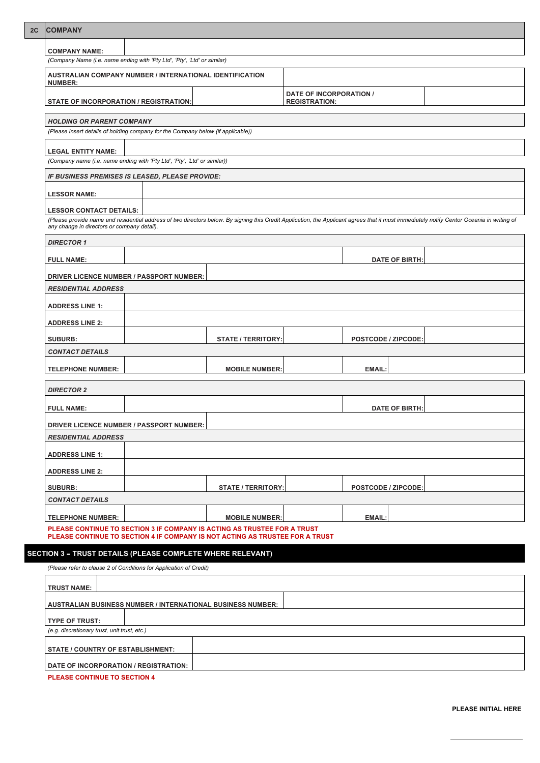| <b>COMPANY NAME:</b><br>(Company Name (i.e. name ending with 'Pty Ltd', 'Pty', 'Ltd' or similar)<br><b>AUSTRALIAN COMPANY NUMBER / INTERNATIONAL IDENTIFICATION</b><br><b>NUMBER:</b><br><b>DATE OF INCORPORATION /</b><br><b>STATE OF INCORPORATION / REGISTRATION:</b><br><b>REGISTRATION:</b><br><b>HOLDING OR PARENT COMPANY</b><br>(Please insert details of holding company for the Company below (if applicable))<br><b>LEGAL ENTITY NAME:</b><br>(Company name (i.e. name ending with 'Pty Ltd', 'Pty', 'Ltd' or similar))<br>IF BUSINESS PREMISES IS LEASED, PLEASE PROVIDE:<br><b>LESSOR NAME:</b><br><b>LESSOR CONTACT DETAILS:</b><br>(Please provide name and residential address of two directors below. By signing this Credit Application, the Applicant agrees that it must immediately notify Centor Oceania in writing of<br>any change in directors or company detail).<br><b>DIRECTOR 1</b><br><b>DATE OF BIRTH:</b><br><b>FULL NAME:</b><br><b>DRIVER LICENCE NUMBER / PASSPORT NUMBER:</b><br><b>RESIDENTIAL ADDRESS</b><br><b>ADDRESS LINE 1:</b><br><b>ADDRESS LINE 2:</b><br><b>SUBURB:</b><br><b>STATE / TERRITORY:</b><br><b>POSTCODE / ZIPCODE:</b><br><b>CONTACT DETAILS</b><br><b>TELEPHONE NUMBER:</b><br><b>EMAIL:</b><br><b>MOBILE NUMBER:</b><br><b>DIRECTOR 2</b><br><b>FULL NAME:</b><br><b>DATE OF BIRTH:</b><br>DRIVER LICENCE NUMBER / PASSPORT NUMBER:<br><b>RESIDENTIAL ADDRESS</b><br><b>ADDRESS LINE 1:</b><br><b>ADDRESS LINE 2:</b><br><b>STATE / TERRITORY:</b><br><b>SUBURB:</b><br><b>POSTCODE / ZIPCODE:</b><br><b>CONTACT DETAILS</b><br><b>EMAIL:</b><br><b>TELEPHONE NUMBER:</b><br><b>MOBILE NUMBER:</b><br>PLEASE CONTINUE TO SECTION 3 IF COMPANY IS ACTING AS TRUSTEE FOR A TRUST<br>PLEASE CONTINUE TO SECTION 4 IF COMPANY IS NOT ACTING AS TRUSTEE FOR A TRUST<br><b>SECTION 3 - TRUST DETAILS (PLEASE COMPLETE WHERE RELEVANT)</b> | 2C | <b>COMPANY</b> |  |  |  |  |  |
|-------------------------------------------------------------------------------------------------------------------------------------------------------------------------------------------------------------------------------------------------------------------------------------------------------------------------------------------------------------------------------------------------------------------------------------------------------------------------------------------------------------------------------------------------------------------------------------------------------------------------------------------------------------------------------------------------------------------------------------------------------------------------------------------------------------------------------------------------------------------------------------------------------------------------------------------------------------------------------------------------------------------------------------------------------------------------------------------------------------------------------------------------------------------------------------------------------------------------------------------------------------------------------------------------------------------------------------------------------------------------------------------------------------------------------------------------------------------------------------------------------------------------------------------------------------------------------------------------------------------------------------------------------------------------------------------------------------------------------------------------------------------------------------------------------------------------------------------------------------------------------------------------|----|----------------|--|--|--|--|--|
|                                                                                                                                                                                                                                                                                                                                                                                                                                                                                                                                                                                                                                                                                                                                                                                                                                                                                                                                                                                                                                                                                                                                                                                                                                                                                                                                                                                                                                                                                                                                                                                                                                                                                                                                                                                                                                                                                                 |    |                |  |  |  |  |  |
|                                                                                                                                                                                                                                                                                                                                                                                                                                                                                                                                                                                                                                                                                                                                                                                                                                                                                                                                                                                                                                                                                                                                                                                                                                                                                                                                                                                                                                                                                                                                                                                                                                                                                                                                                                                                                                                                                                 |    |                |  |  |  |  |  |
|                                                                                                                                                                                                                                                                                                                                                                                                                                                                                                                                                                                                                                                                                                                                                                                                                                                                                                                                                                                                                                                                                                                                                                                                                                                                                                                                                                                                                                                                                                                                                                                                                                                                                                                                                                                                                                                                                                 |    |                |  |  |  |  |  |
|                                                                                                                                                                                                                                                                                                                                                                                                                                                                                                                                                                                                                                                                                                                                                                                                                                                                                                                                                                                                                                                                                                                                                                                                                                                                                                                                                                                                                                                                                                                                                                                                                                                                                                                                                                                                                                                                                                 |    |                |  |  |  |  |  |
|                                                                                                                                                                                                                                                                                                                                                                                                                                                                                                                                                                                                                                                                                                                                                                                                                                                                                                                                                                                                                                                                                                                                                                                                                                                                                                                                                                                                                                                                                                                                                                                                                                                                                                                                                                                                                                                                                                 |    |                |  |  |  |  |  |
|                                                                                                                                                                                                                                                                                                                                                                                                                                                                                                                                                                                                                                                                                                                                                                                                                                                                                                                                                                                                                                                                                                                                                                                                                                                                                                                                                                                                                                                                                                                                                                                                                                                                                                                                                                                                                                                                                                 |    |                |  |  |  |  |  |
|                                                                                                                                                                                                                                                                                                                                                                                                                                                                                                                                                                                                                                                                                                                                                                                                                                                                                                                                                                                                                                                                                                                                                                                                                                                                                                                                                                                                                                                                                                                                                                                                                                                                                                                                                                                                                                                                                                 |    |                |  |  |  |  |  |
|                                                                                                                                                                                                                                                                                                                                                                                                                                                                                                                                                                                                                                                                                                                                                                                                                                                                                                                                                                                                                                                                                                                                                                                                                                                                                                                                                                                                                                                                                                                                                                                                                                                                                                                                                                                                                                                                                                 |    |                |  |  |  |  |  |
|                                                                                                                                                                                                                                                                                                                                                                                                                                                                                                                                                                                                                                                                                                                                                                                                                                                                                                                                                                                                                                                                                                                                                                                                                                                                                                                                                                                                                                                                                                                                                                                                                                                                                                                                                                                                                                                                                                 |    |                |  |  |  |  |  |
|                                                                                                                                                                                                                                                                                                                                                                                                                                                                                                                                                                                                                                                                                                                                                                                                                                                                                                                                                                                                                                                                                                                                                                                                                                                                                                                                                                                                                                                                                                                                                                                                                                                                                                                                                                                                                                                                                                 |    |                |  |  |  |  |  |
|                                                                                                                                                                                                                                                                                                                                                                                                                                                                                                                                                                                                                                                                                                                                                                                                                                                                                                                                                                                                                                                                                                                                                                                                                                                                                                                                                                                                                                                                                                                                                                                                                                                                                                                                                                                                                                                                                                 |    |                |  |  |  |  |  |
|                                                                                                                                                                                                                                                                                                                                                                                                                                                                                                                                                                                                                                                                                                                                                                                                                                                                                                                                                                                                                                                                                                                                                                                                                                                                                                                                                                                                                                                                                                                                                                                                                                                                                                                                                                                                                                                                                                 |    |                |  |  |  |  |  |
|                                                                                                                                                                                                                                                                                                                                                                                                                                                                                                                                                                                                                                                                                                                                                                                                                                                                                                                                                                                                                                                                                                                                                                                                                                                                                                                                                                                                                                                                                                                                                                                                                                                                                                                                                                                                                                                                                                 |    |                |  |  |  |  |  |
|                                                                                                                                                                                                                                                                                                                                                                                                                                                                                                                                                                                                                                                                                                                                                                                                                                                                                                                                                                                                                                                                                                                                                                                                                                                                                                                                                                                                                                                                                                                                                                                                                                                                                                                                                                                                                                                                                                 |    |                |  |  |  |  |  |
|                                                                                                                                                                                                                                                                                                                                                                                                                                                                                                                                                                                                                                                                                                                                                                                                                                                                                                                                                                                                                                                                                                                                                                                                                                                                                                                                                                                                                                                                                                                                                                                                                                                                                                                                                                                                                                                                                                 |    |                |  |  |  |  |  |
|                                                                                                                                                                                                                                                                                                                                                                                                                                                                                                                                                                                                                                                                                                                                                                                                                                                                                                                                                                                                                                                                                                                                                                                                                                                                                                                                                                                                                                                                                                                                                                                                                                                                                                                                                                                                                                                                                                 |    |                |  |  |  |  |  |
|                                                                                                                                                                                                                                                                                                                                                                                                                                                                                                                                                                                                                                                                                                                                                                                                                                                                                                                                                                                                                                                                                                                                                                                                                                                                                                                                                                                                                                                                                                                                                                                                                                                                                                                                                                                                                                                                                                 |    |                |  |  |  |  |  |
|                                                                                                                                                                                                                                                                                                                                                                                                                                                                                                                                                                                                                                                                                                                                                                                                                                                                                                                                                                                                                                                                                                                                                                                                                                                                                                                                                                                                                                                                                                                                                                                                                                                                                                                                                                                                                                                                                                 |    |                |  |  |  |  |  |
|                                                                                                                                                                                                                                                                                                                                                                                                                                                                                                                                                                                                                                                                                                                                                                                                                                                                                                                                                                                                                                                                                                                                                                                                                                                                                                                                                                                                                                                                                                                                                                                                                                                                                                                                                                                                                                                                                                 |    |                |  |  |  |  |  |
|                                                                                                                                                                                                                                                                                                                                                                                                                                                                                                                                                                                                                                                                                                                                                                                                                                                                                                                                                                                                                                                                                                                                                                                                                                                                                                                                                                                                                                                                                                                                                                                                                                                                                                                                                                                                                                                                                                 |    |                |  |  |  |  |  |
|                                                                                                                                                                                                                                                                                                                                                                                                                                                                                                                                                                                                                                                                                                                                                                                                                                                                                                                                                                                                                                                                                                                                                                                                                                                                                                                                                                                                                                                                                                                                                                                                                                                                                                                                                                                                                                                                                                 |    |                |  |  |  |  |  |
|                                                                                                                                                                                                                                                                                                                                                                                                                                                                                                                                                                                                                                                                                                                                                                                                                                                                                                                                                                                                                                                                                                                                                                                                                                                                                                                                                                                                                                                                                                                                                                                                                                                                                                                                                                                                                                                                                                 |    |                |  |  |  |  |  |
|                                                                                                                                                                                                                                                                                                                                                                                                                                                                                                                                                                                                                                                                                                                                                                                                                                                                                                                                                                                                                                                                                                                                                                                                                                                                                                                                                                                                                                                                                                                                                                                                                                                                                                                                                                                                                                                                                                 |    |                |  |  |  |  |  |
|                                                                                                                                                                                                                                                                                                                                                                                                                                                                                                                                                                                                                                                                                                                                                                                                                                                                                                                                                                                                                                                                                                                                                                                                                                                                                                                                                                                                                                                                                                                                                                                                                                                                                                                                                                                                                                                                                                 |    |                |  |  |  |  |  |
|                                                                                                                                                                                                                                                                                                                                                                                                                                                                                                                                                                                                                                                                                                                                                                                                                                                                                                                                                                                                                                                                                                                                                                                                                                                                                                                                                                                                                                                                                                                                                                                                                                                                                                                                                                                                                                                                                                 |    |                |  |  |  |  |  |
|                                                                                                                                                                                                                                                                                                                                                                                                                                                                                                                                                                                                                                                                                                                                                                                                                                                                                                                                                                                                                                                                                                                                                                                                                                                                                                                                                                                                                                                                                                                                                                                                                                                                                                                                                                                                                                                                                                 |    |                |  |  |  |  |  |
|                                                                                                                                                                                                                                                                                                                                                                                                                                                                                                                                                                                                                                                                                                                                                                                                                                                                                                                                                                                                                                                                                                                                                                                                                                                                                                                                                                                                                                                                                                                                                                                                                                                                                                                                                                                                                                                                                                 |    |                |  |  |  |  |  |
|                                                                                                                                                                                                                                                                                                                                                                                                                                                                                                                                                                                                                                                                                                                                                                                                                                                                                                                                                                                                                                                                                                                                                                                                                                                                                                                                                                                                                                                                                                                                                                                                                                                                                                                                                                                                                                                                                                 |    |                |  |  |  |  |  |
|                                                                                                                                                                                                                                                                                                                                                                                                                                                                                                                                                                                                                                                                                                                                                                                                                                                                                                                                                                                                                                                                                                                                                                                                                                                                                                                                                                                                                                                                                                                                                                                                                                                                                                                                                                                                                                                                                                 |    |                |  |  |  |  |  |
|                                                                                                                                                                                                                                                                                                                                                                                                                                                                                                                                                                                                                                                                                                                                                                                                                                                                                                                                                                                                                                                                                                                                                                                                                                                                                                                                                                                                                                                                                                                                                                                                                                                                                                                                                                                                                                                                                                 |    |                |  |  |  |  |  |
|                                                                                                                                                                                                                                                                                                                                                                                                                                                                                                                                                                                                                                                                                                                                                                                                                                                                                                                                                                                                                                                                                                                                                                                                                                                                                                                                                                                                                                                                                                                                                                                                                                                                                                                                                                                                                                                                                                 |    |                |  |  |  |  |  |
|                                                                                                                                                                                                                                                                                                                                                                                                                                                                                                                                                                                                                                                                                                                                                                                                                                                                                                                                                                                                                                                                                                                                                                                                                                                                                                                                                                                                                                                                                                                                                                                                                                                                                                                                                                                                                                                                                                 |    |                |  |  |  |  |  |

*(Please refer to clause 2 of Conditions for Application of Credit)*

## **TRUST NAME:**

#### **AUSTRALIAN BUSINESS NUMBER / INTERNATIONAL BUSINESS NUMBER:**

#### **TYPE OF TRUST:**

*(e.g. discretionary trust, unit trust, etc.)*

| <b>STATE / COUNTRY OF ESTABLISHMENT:</b> |  |
|------------------------------------------|--|
|                                          |  |
| DATE OF INCORPORATION / REGISTRATION:    |  |

**PLEASE CONTINUE TO SECTION 4**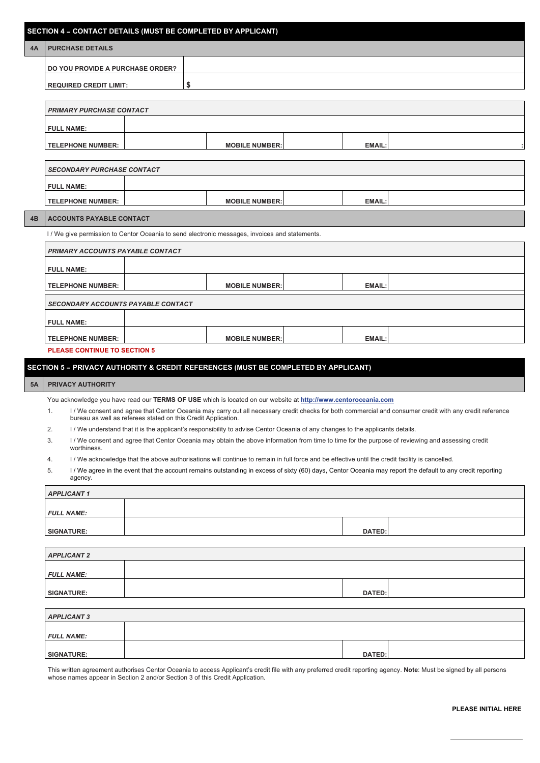|    | <b>SECTION 4 - CONTACT DETAILS (MUST BE COMPLETED BY APPLICANT)</b> |  |  |  |
|----|---------------------------------------------------------------------|--|--|--|
| 4A | <b>PURCHASE DETAILS</b>                                             |  |  |  |
|    | <b>DO YOU PROVIDE A PURCHASE ORDER?</b>                             |  |  |  |
|    | REQUIRED CREDIT LIMIT:                                              |  |  |  |

| <b>PRIMARY PURCHASE CONTACT</b> |                       |               |  |  |  |
|---------------------------------|-----------------------|---------------|--|--|--|
| <b>FULL NAME:</b>               |                       |               |  |  |  |
| <b>TELEPHONE NUMBER:</b>        | <b>MOBILE NUMBER:</b> | <b>EMAIL:</b> |  |  |  |

| <b>SECONDARY PURCHASE CONTACT</b> |  |                       |  |               |  |
|-----------------------------------|--|-----------------------|--|---------------|--|
| <b>FULL NAME:</b>                 |  |                       |  |               |  |
| <b>TELEPHONE NUMBER:</b>          |  | <b>MOBILE NUMBER:</b> |  | <b>EMAIL:</b> |  |
|                                   |  |                       |  |               |  |

#### **4B ACCOUNTS PAYABLE CONTACT**

I / We give permission to Centor Oceania to send electronic messages, invoices and statements.

| <b>PRIMARY ACCOUNTS PAYABLE CONTACT</b>   |                       |        |  |  |  |
|-------------------------------------------|-----------------------|--------|--|--|--|
| <b>FULL NAME:</b>                         |                       |        |  |  |  |
| <b>TELEPHONE NUMBER:</b>                  | <b>MOBILE NUMBER:</b> | EMAIL: |  |  |  |
| <b>SECONDARY ACCOUNTS PAYABLE CONTACT</b> |                       |        |  |  |  |
| <b>FULL NAME:</b>                         |                       |        |  |  |  |
| <b>TELEPHONE NUMBER:</b>                  | <b>MOBILE NUMBER:</b> | EMAIL: |  |  |  |

**PLEASE CONTINUE TO SECTION 5**

#### **SECTION 5** – **PRIVACY AUTHORITY & CREDIT REFERENCES (MUST BE COMPLETED BY APPLICANT)**

#### **5A PRIVACY AUTHORITY**

You acknowledge you have read our **TERMS OF USE** which is located on our website at **[http://www.centoroceania.com](http://www.centoroceania.com/)**

- 1. I / We consent and agree that Centor Oceania may carry out all necessary credit checks for both commercial and consumer credit with any credit reference bureau as well as referees stated on this Credit Application.
- 2. I / We understand that it is the applicant's responsibility to advise Centor Oceania of any changes to the applicants details.
- 3. I / We consent and agree that Centor Oceania may obtain the above information from time to time for the purpose of reviewing and assessing credit worthiness.
- 4. I / We acknowledge that the above authorisations will continue to remain in full force and be effective until the credit facility is cancelled.
- 5. I / We agree in the event that the account remains outstanding in excess of sixty (60) days, Centor Oceania may report the default to any credit reporting agency.

| <b>APPLICANT 1</b> |               |  |  |  |
|--------------------|---------------|--|--|--|
|                    |               |  |  |  |
| <b>FULL NAME:</b>  |               |  |  |  |
| <b>SIGNATURE:</b>  | <b>DATED:</b> |  |  |  |

| <b>APPLICANT 2</b> |  |        |  |  |
|--------------------|--|--------|--|--|
| <b>FULL NAME:</b>  |  |        |  |  |
| <b>SIGNATURE:</b>  |  | DATED: |  |  |

| <b>APPLICANT 3</b> |               |  |
|--------------------|---------------|--|
| <b>FULL NAME:</b>  |               |  |
| <b>SIGNATURE:</b>  | <b>DATED:</b> |  |

This written agreement authorises Centor Oceania to access Applicant's credit file with any preferred credit reporting agency. **Note**: Must be signed by all persons whose names appear in Section 2 and/or Section 3 of this Credit Application.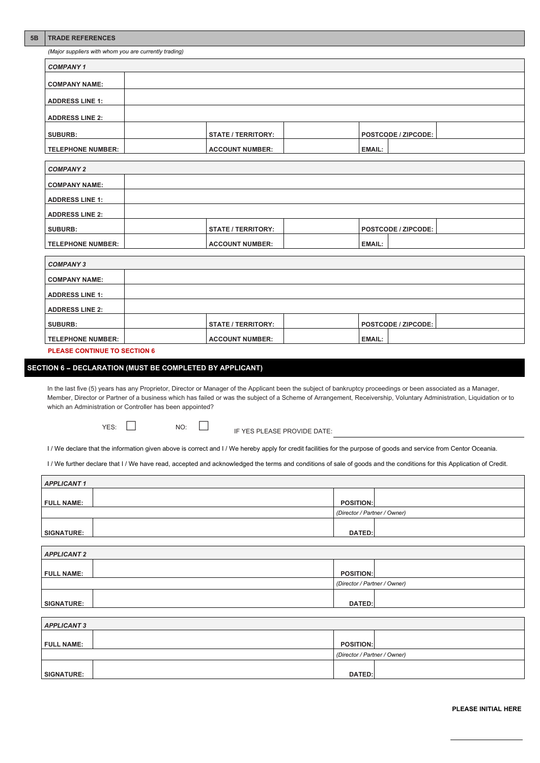#### **5B TRADE REFERENCES**

*(Major suppliers with whom you are currently trading)*

| <b>COMPANY 1</b>       |  |                           |  |               |                            |  |
|------------------------|--|---------------------------|--|---------------|----------------------------|--|
| <b>COMPANY NAME:</b>   |  |                           |  |               |                            |  |
| <b>ADDRESS LINE 1:</b> |  |                           |  |               |                            |  |
| <b>ADDRESS LINE 2:</b> |  |                           |  |               |                            |  |
| <b>SUBURB:</b>         |  | <b>STATE / TERRITORY:</b> |  |               | <b>POSTCODE / ZIPCODE:</b> |  |
| TELEPHONE NUMBER:      |  | <b>ACCOUNT NUMBER:</b>    |  | <b>EMAIL:</b> |                            |  |

| <b>COMPANY 2</b>         |                           |                            |  |
|--------------------------|---------------------------|----------------------------|--|
| <b>COMPANY NAME:</b>     |                           |                            |  |
| <b>ADDRESS LINE 1:</b>   |                           |                            |  |
| <b>ADDRESS LINE 2:</b>   |                           |                            |  |
| <b>SUBURB:</b>           | <b>STATE / TERRITORY:</b> | <b>POSTCODE / ZIPCODE:</b> |  |
| <b>TELEPHONE NUMBER:</b> | <b>ACCOUNT NUMBER:</b>    | <b>EMAIL:</b>              |  |

| <b>COMPANY 3</b>         |                           |                     |  |
|--------------------------|---------------------------|---------------------|--|
| <b>COMPANY NAME:</b>     |                           |                     |  |
| <b>ADDRESS LINE 1:</b>   |                           |                     |  |
| <b>ADDRESS LINE 2:</b>   |                           |                     |  |
| <b>SUBURB:</b>           | <b>STATE / TERRITORY:</b> | POSTCODE / ZIPCODE: |  |
| <b>TELEPHONE NUMBER:</b> | <b>ACCOUNT NUMBER:</b>    | <b>EMAIL:</b>       |  |

In the last five (5) years has any Proprietor, Director or Manager of the Applicant been the subject of bankruptcy proceedings or been associated as a Manager, Member, Director or Partner of a business which has failed or was the subject of a Scheme of Arrangement, Receivership, Voluntary Administration, Liquidation or to which an Administration or Controller has been appointed?

 $YES: \quad \Box$  NO:  $\quad \Box$  IF YES PLEASE PROVIDE DATE:

I / We declare that the information given above is correct and I / We hereby apply for credit facilities for the purpose of goods and service from Centor Oceania.

I / We further declare that I / We have read, accepted and acknowledged the terms and conditions of sale of goods and the conditions for this Application of Credit.

**PLEASE CONTINUE TO SECTION 6**

#### **SECTION 6** – **DECLARATION (MUST BE COMPLETED BY APPLICANT)**

| <b>APPLICANT 1</b> |                              |  |
|--------------------|------------------------------|--|
|                    |                              |  |
| <b>FULL NAME:</b>  | <b>POSITION:</b>             |  |
|                    | (Director / Partner / Owner) |  |
|                    |                              |  |
| <b>SIGNATURE:</b>  | <b>DATED:</b>                |  |

| <b>APPLICANT 2</b> |                  |
|--------------------|------------------|
|                    |                  |
| <b>FULL NAME:</b>  | <b>POSITION:</b> |

|                   |  | (Director / Partner / Owner) |  |
|-------------------|--|------------------------------|--|
|                   |  |                              |  |
| <b>SIGNATURE:</b> |  | <b>DATED:</b>                |  |

| <b>APPLICANT 3</b> |                              |
|--------------------|------------------------------|
| <b>FULL NAME:</b>  | <b>POSITION:</b>             |
|                    | (Director / Partner / Owner) |
| <b>SIGNATURE:</b>  | <b>DATED:</b>                |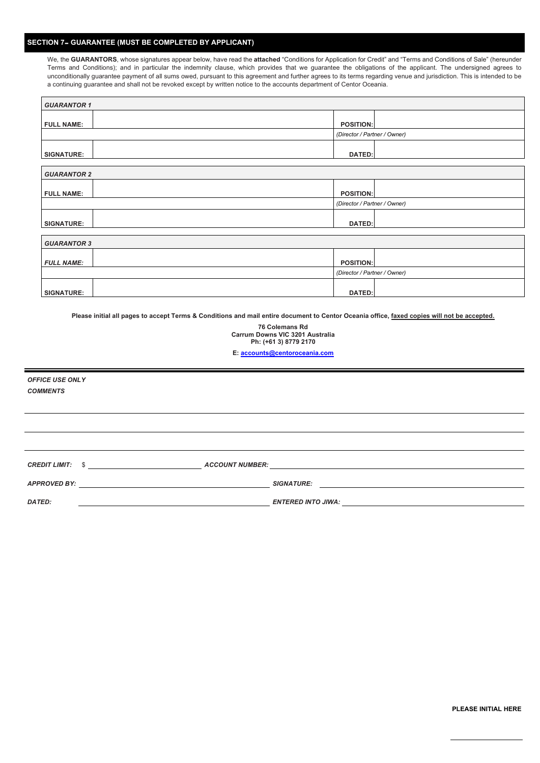#### **SECTION 7**– **GUARANTEE (MUST BE COMPLETED BY APPLICANT)**

We, the **GUARANTORS**, whose signatures appear below, have read the **attached** "Conditions for Application for Credit" and "Terms and Conditions of Sale" (hereunder Terms and Conditions); and in particular the indemnity clause, which provides that we guarantee the obligations of the applicant. The undersigned agrees to unconditionally guarantee payment of all sums owed, pursuant to this agreement and further agrees to its terms regarding venue and jurisdiction. This is intended to be a continuing guarantee and shall not be revoked except by written notice to the accounts department of Centor Oceania.

| <b>GUARANTOR 1</b> |                              |
|--------------------|------------------------------|
| <b>FULL NAME:</b>  | <b>POSITION:</b>             |
|                    | (Director / Partner / Owner) |
| <b>SIGNATURE:</b>  | <b>DATED:</b>                |
| <b>GUARANTOR 2</b> |                              |
| <b>FULL NAME:</b>  | <b>POSITION:</b>             |
|                    | (Director / Partner / Owner) |
| <b>SIGNATURE:</b>  | <b>DATED:</b>                |
|                    |                              |
| <b>GUARANTOR 3</b> |                              |
| <b>FULL NAME:</b>  | <b>POSITION:</b>             |
|                    | (Director / Partner / Owner) |
| <b>SIGNATURE:</b>  | <b>DATED:</b>                |

**Please initial all pages to accept Terms & Conditions and mail entire document to Centor Oceania office, faxed copies will not be accepted.**

**76 Colemans Rd Carrum Downs VIC 3201 Australia Ph: (+61 3) 8779 2170**

**E: [accounts@centoroceania.com](mailto:accounts@centoroceania.com)**

*OFFICE USE ONLY COMMENTS*

 $\Gamma$ 

*CREDIT LIMIT:* \$ *ACCOUNT NUMBER: APPROVED BY: SIGNATURE: DATED: ENTERED INTO JIWA:*